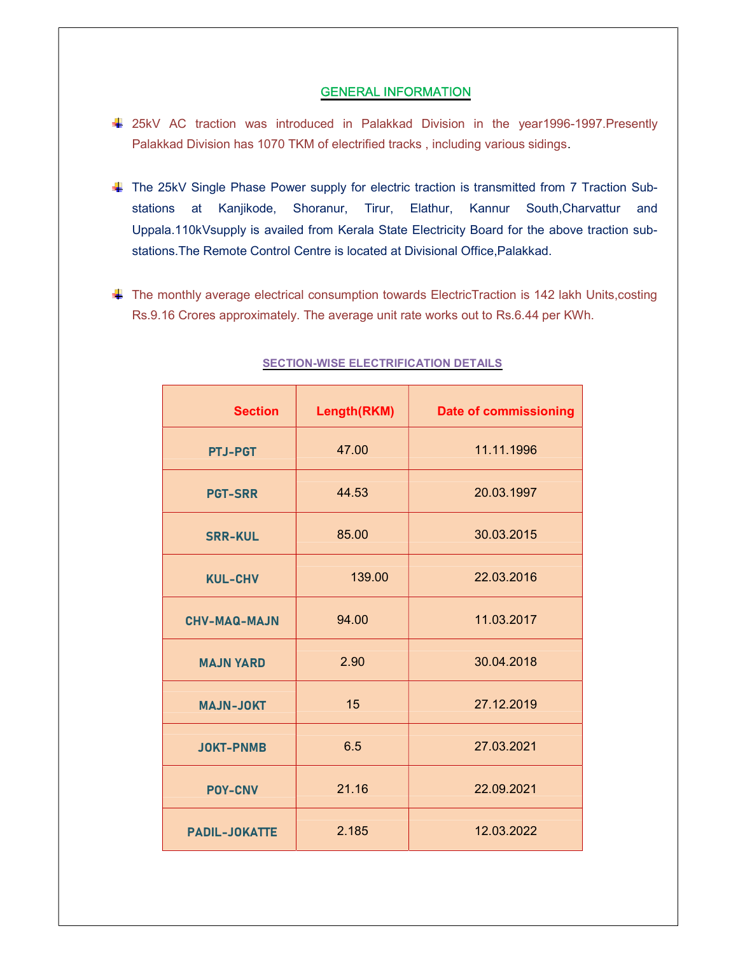## GENERAL INFORMATION

- 25kV AC traction was introduced in Palakkad Division in the year1996-1997.Presently Palakkad Division has 1070 TKM of electrified tracks , including various sidings.
- The 25kV Single Phase Power supply for electric traction is transmitted from 7 Traction Substations at Kanjikode, Shoranur, Tirur, Elathur, Kannur South,Charvattur and Uppala.110kVsupply is availed from Kerala State Electricity Board for the above traction substations.The Remote Control Centre is located at Divisional Office,Palakkad.
- $\Box$  The monthly average electrical consumption towards ElectricTraction is 142 lakh Units, costing Rs.9.16 Crores approximately. The average unit rate works out to Rs.6.44 per KWh.

| <b>Section</b>       | Length(RKM) | <b>Date of commissioning</b> |
|----------------------|-------------|------------------------------|
| <b>PTJ-PGT</b>       | 47.00       | 11.11.1996                   |
| <b>PGT-SRR</b>       | 44.53       | 20.03.1997                   |
| <b>SRR-KUL</b>       | 85.00       | 30.03.2015                   |
| <b>KUL-CHV</b>       | 139.00      | 22.03.2016                   |
| <b>CHV-MAQ-MAJN</b>  | 94.00       | 11.03.2017                   |
| <b>MAJN YARD</b>     | 2.90        | 30.04.2018                   |
| <b>MAJN-JOKT</b>     | 15          | 27.12.2019                   |
| <b>JOKT-PNMB</b>     | 6.5         | 27.03.2021                   |
| <b>POY-CNV</b>       | 21.16       | 22.09.2021                   |
| <b>PADIL-JOKATTE</b> | 2.185       | 12.03.2022                   |

## **SECTION-WISE ELECTRIFICATION DETAILS**